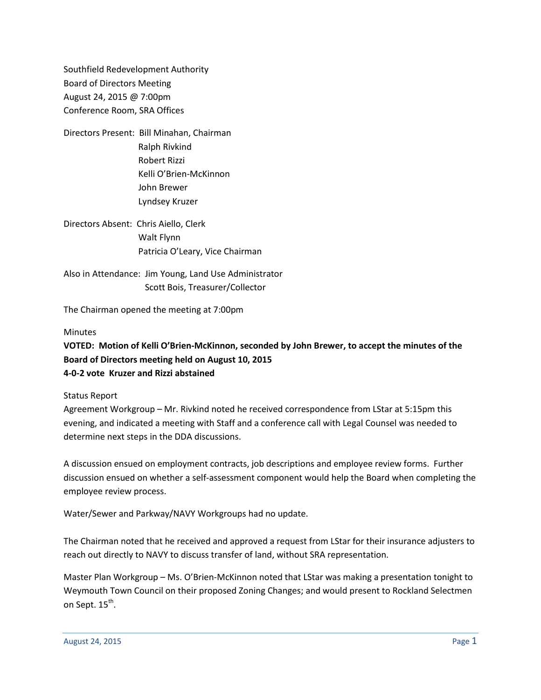Southfield Redevelopment Authority Board of Directors Meeting August 24, 2015 @ 7:00pm Conference Room, SRA Offices

- Directors Present: Bill Minahan, Chairman Ralph Rivkind Robert Rizzi Kelli O'Brien-McKinnon John Brewer Lyndsey Kruzer
- Directors Absent: Chris Aiello, Clerk Walt Flynn Patricia O'Leary, Vice Chairman

Also in Attendance: Jim Young, Land Use Administrator Scott Bois, Treasurer/Collector

The Chairman opened the meeting at 7:00pm

## **Minutes**

## **VOTED: Motion of Kelli O'Brien-McKinnon, seconded by John Brewer, to accept the minutes of the Board of Directors meeting held on August 10, 2015 4-0-2 vote Kruzer and Rizzi abstained**

Status Report

Agreement Workgroup – Mr. Rivkind noted he received correspondence from LStar at 5:15pm this evening, and indicated a meeting with Staff and a conference call with Legal Counsel was needed to determine next steps in the DDA discussions.

A discussion ensued on employment contracts, job descriptions and employee review forms. Further discussion ensued on whether a self-assessment component would help the Board when completing the employee review process.

Water/Sewer and Parkway/NAVY Workgroups had no update.

The Chairman noted that he received and approved a request from LStar for their insurance adjusters to reach out directly to NAVY to discuss transfer of land, without SRA representation.

Master Plan Workgroup – Ms. O'Brien-McKinnon noted that LStar was making a presentation tonight to Weymouth Town Council on their proposed Zoning Changes; and would present to Rockland Selectmen on Sept. 15<sup>th</sup>.